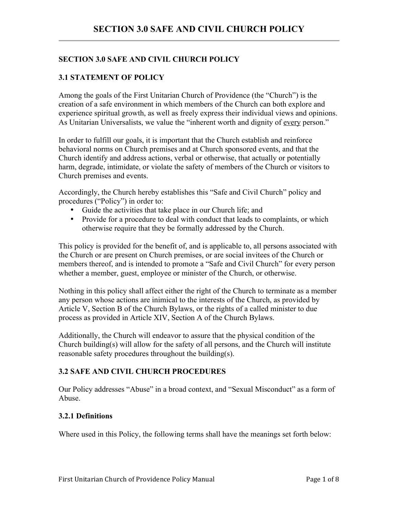# **SECTION 3.0 SAFE AND CIVIL CHURCH POLICY**

### **3.1 STATEMENT OF POLICY**

Among the goals of the First Unitarian Church of Providence (the "Church") is the creation of a safe environment in which members of the Church can both explore and experience spiritual growth, as well as freely express their individual views and opinions. As Unitarian Universalists, we value the "inherent worth and dignity of every person."

In order to fulfill our goals, it is important that the Church establish and reinforce behavioral norms on Church premises and at Church sponsored events, and that the Church identify and address actions, verbal or otherwise, that actually or potentially harm, degrade, intimidate, or violate the safety of members of the Church or visitors to Church premises and events.

Accordingly, the Church hereby establishes this "Safe and Civil Church" policy and procedures ("Policy") in order to:

- Guide the activities that take place in our Church life; and
- Provide for a procedure to deal with conduct that leads to complaints, or which otherwise require that they be formally addressed by the Church.

This policy is provided for the benefit of, and is applicable to, all persons associated with the Church or are present on Church premises, or are social invitees of the Church or members thereof, and is intended to promote a "Safe and Civil Church" for every person whether a member, guest, employee or minister of the Church, or otherwise.

Nothing in this policy shall affect either the right of the Church to terminate as a member any person whose actions are inimical to the interests of the Church, as provided by Article V, Section B of the Church Bylaws, or the rights of a called minister to due process as provided in Article XIV, Section A of the Church Bylaws.

Additionally, the Church will endeavor to assure that the physical condition of the Church building(s) will allow for the safety of all persons, and the Church will institute reasonable safety procedures throughout the building(s).

## **3.2 SAFE AND CIVIL CHURCH PROCEDURES**

Our Policy addresses "Abuse" in a broad context, and "Sexual Misconduct" as a form of Abuse.

## **3.2.1 Definitions**

Where used in this Policy, the following terms shall have the meanings set forth below: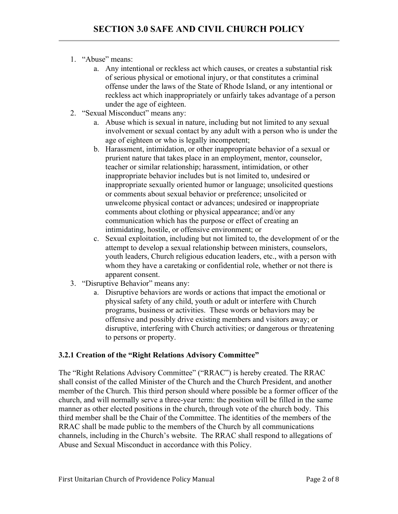- 1. "Abuse" means:
	- a. Any intentional or reckless act which causes, or creates a substantial risk of serious physical or emotional injury, or that constitutes a criminal offense under the laws of the State of Rhode Island, or any intentional or reckless act which inappropriately or unfairly takes advantage of a person under the age of eighteen.
- 2. "Sexual Misconduct" means any:
	- a. Abuse which is sexual in nature, including but not limited to any sexual involvement or sexual contact by any adult with a person who is under the age of eighteen or who is legally incompetent;
	- b. Harassment, intimidation, or other inappropriate behavior of a sexual or prurient nature that takes place in an employment, mentor, counselor, teacher or similar relationship; harassment, intimidation, or other inappropriate behavior includes but is not limited to, undesired or inappropriate sexually oriented humor or language; unsolicited questions or comments about sexual behavior or preference; unsolicited or unwelcome physical contact or advances; undesired or inappropriate comments about clothing or physical appearance; and/or any communication which has the purpose or effect of creating an intimidating, hostile, or offensive environment; or
	- c. Sexual exploitation, including but not limited to, the development of or the attempt to develop a sexual relationship between ministers, counselors, youth leaders, Church religious education leaders, etc., with a person with whom they have a caretaking or confidential role, whether or not there is apparent consent.
- 3. "Disruptive Behavior" means any:
	- a. Disruptive behaviors are words or actions that impact the emotional or physical safety of any child, youth or adult or interfere with Church programs, business or activities. These words or behaviors may be offensive and possibly drive existing members and visitors away; or disruptive, interfering with Church activities; or dangerous or threatening to persons or property.

# **3.2.1 Creation of the "Right Relations Advisory Committee"**

The "Right Relations Advisory Committee" ("RRAC") is hereby created. The RRAC shall consist of the called Minister of the Church and the Church President, and another member of the Church. This third person should where possible be a former officer of the church, and will normally serve a three-year term: the position will be filled in the same manner as other elected positions in the church, through vote of the church body. This third member shall be the Chair of the Committee. The identities of the members of the RRAC shall be made public to the members of the Church by all communications channels, including in the Church's website. The RRAC shall respond to allegations of Abuse and Sexual Misconduct in accordance with this Policy.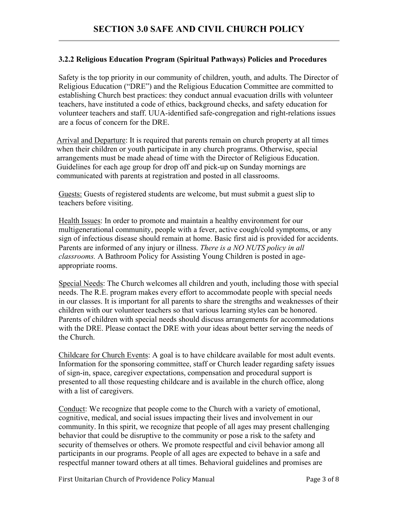### **3.2.2 Religious Education Program (Spiritual Pathways) Policies and Procedures**

Safety is the top priority in our community of children, youth, and adults. The Director of Religious Education ("DRE") and the Religious Education Committee are committed to establishing Church best practices: they conduct annual evacuation drills with volunteer teachers, have instituted a code of ethics, background checks, and safety education for volunteer teachers and staff. UUA-identified safe-congregation and right-relations issues are a focus of concern for the DRE.

Arrival and Departure: It is required that parents remain on church property at all times when their children or youth participate in any church programs. Otherwise, special arrangements must be made ahead of time with the Director of Religious Education. Guidelines for each age group for drop off and pick-up on Sunday mornings are communicated with parents at registration and posted in all classrooms.

Guests: Guests of registered students are welcome, but must submit a guest slip to teachers before visiting.

Health Issues: In order to promote and maintain a healthy environment for our multigenerational community, people with a fever, active cough/cold symptoms, or any sign of infectious disease should remain at home. Basic first aid is provided for accidents. Parents are informed of any injury or illness. *There is a NO NUTS policy in all classrooms.* A Bathroom Policy for Assisting Young Children is posted in ageappropriate rooms.

Special Needs: The Church welcomes all children and youth, including those with special needs. The R.E. program makes every effort to accommodate people with special needs in our classes. It is important for all parents to share the strengths and weaknesses of their children with our volunteer teachers so that various learning styles can be honored. Parents of children with special needs should discuss arrangements for accommodations with the DRE. Please contact the DRE with your ideas about better serving the needs of the Church.

Childcare for Church Events: A goal is to have childcare available for most adult events. Information for the sponsoring committee, staff or Church leader regarding safety issues of sign-in, space, caregiver expectations, compensation and procedural support is presented to all those requesting childcare and is available in the church office, along with a list of caregivers.

Conduct: We recognize that people come to the Church with a variety of emotional, cognitive, medical, and social issues impacting their lives and involvement in our community. In this spirit, we recognize that people of all ages may present challenging behavior that could be disruptive to the community or pose a risk to the safety and security of themselves or others. We promote respectful and civil behavior among all participants in our programs. People of all ages are expected to behave in a safe and respectful manner toward others at all times. Behavioral guidelines and promises are

First Unitarian Church of Providence Policy Manual Page 2 of 8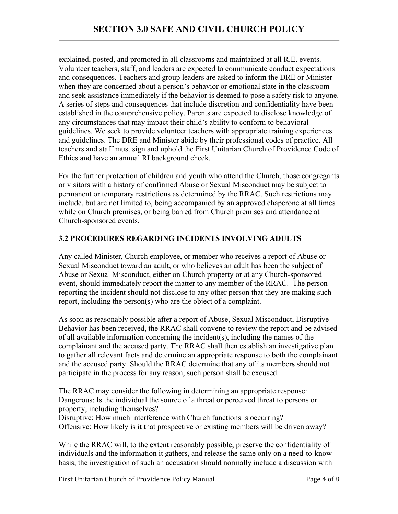explained, posted, and promoted in all classrooms and maintained at all R.E. events. Volunteer teachers, staff, and leaders are expected to communicate conduct expectations and consequences. Teachers and group leaders are asked to inform the DRE or Minister when they are concerned about a person's behavior or emotional state in the classroom and seek assistance immediately if the behavior is deemed to pose a safety risk to anyone. A series of steps and consequences that include discretion and confidentiality have been established in the comprehensive policy. Parents are expected to disclose knowledge of any circumstances that may impact their child's ability to conform to behavioral guidelines. We seek to provide volunteer teachers with appropriate training experiences and guidelines. The DRE and Minister abide by their professional codes of practice. All teachers and staff must sign and uphold the First Unitarian Church of Providence Code of Ethics and have an annual RI background check.

For the further protection of children and youth who attend the Church, those congregants or visitors with a history of confirmed Abuse or Sexual Misconduct may be subject to permanent or temporary restrictions as determined by the RRAC. Such restrictions may include, but are not limited to, being accompanied by an approved chaperone at all times while on Church premises, or being barred from Church premises and attendance at Church-sponsored events.

# **3.2 PROCEDURES REGARDING INCIDENTS INVOLVING ADULTS**

Any called Minister, Church employee, or member who receives a report of Abuse or Sexual Misconduct toward an adult, or who believes an adult has been the subject of Abuse or Sexual Misconduct, either on Church property or at any Church-sponsored event, should immediately report the matter to any member of the RRAC. The person reporting the incident should not disclose to any other person that they are making such report, including the person(s) who are the object of a complaint.

As soon as reasonably possible after a report of Abuse, Sexual Misconduct, Disruptive Behavior has been received, the RRAC shall convene to review the report and be advised of all available information concerning the incident(s), including the names of the complainant and the accused party. The RRAC shall then establish an investigative plan to gather all relevant facts and determine an appropriate response to both the complainant and the accused party. Should the RRAC determine that any of its member**s** should not participate in the process for any reason, such person shall be excused.

The RRAC may consider the following in determining an appropriate response: Dangerous: Is the individual the source of a threat or perceived threat to persons or property, including themselves?

Disruptive: How much interference with Church functions is occurring? Offensive: How likely is it that prospective or existing members will be driven away?

While the RRAC will, to the extent reasonably possible, preserve the confidentiality of individuals and the information it gathers, and release the same only on a need-to-know basis, the investigation of such an accusation should normally include a discussion with

First Unitarian Church of Providence Policy Manual Page 4 of 8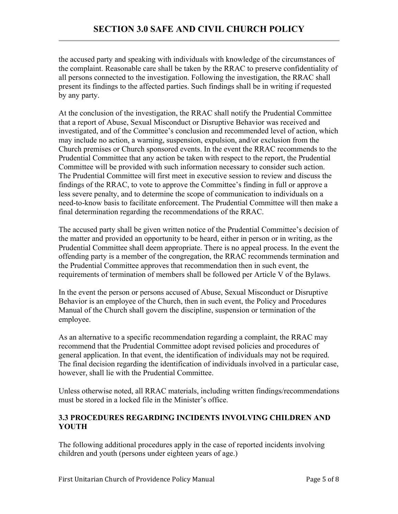the accused party and speaking with individuals with knowledge of the circumstances of the complaint. Reasonable care shall be taken by the RRAC to preserve confidentiality of all persons connected to the investigation. Following the investigation, the RRAC shall present its findings to the affected parties. Such findings shall be in writing if requested by any party.

At the conclusion of the investigation, the RRAC shall notify the Prudential Committee that a report of Abuse, Sexual Misconduct or Disruptive Behavior was received and investigated, and of the Committee's conclusion and recommended level of action, which may include no action, a warning, suspension, expulsion, and/or exclusion from the Church premises or Church sponsored events. In the event the RRAC recommends to the Prudential Committee that any action be taken with respect to the report, the Prudential Committee will be provided with such information necessary to consider such action. The Prudential Committee will first meet in executive session to review and discuss the findings of the RRAC, to vote to approve the Committee's finding in full or approve a less severe penalty, and to determine the scope of communication to individuals on a need-to-know basis to facilitate enforcement. The Prudential Committee will then make a final determination regarding the recommendations of the RRAC.

The accused party shall be given written notice of the Prudential Committee's decision of the matter and provided an opportunity to be heard, either in person or in writing, as the Prudential Committee shall deem appropriate. There is no appeal process. In the event the offending party is a member of the congregation, the RRAC recommends termination and the Prudential Committee approves that recommendation then in such event, the requirements of termination of members shall be followed per Article V of the Bylaws.

In the event the person or persons accused of Abuse, Sexual Misconduct or Disruptive Behavior is an employee of the Church, then in such event, the Policy and Procedures Manual of the Church shall govern the discipline, suspension or termination of the employee.

As an alternative to a specific recommendation regarding a complaint, the RRAC may recommend that the Prudential Committee adopt revised policies and procedures of general application. In that event, the identification of individuals may not be required. The final decision regarding the identification of individuals involved in a particular case, however, shall lie with the Prudential Committee.

Unless otherwise noted, all RRAC materials, including written findings/recommendations must be stored in a locked file in the Minister's office.

# **3.3 PROCEDURES REGARDING INCIDENTS INVOLVING CHILDREN AND YOUTH**

The following additional procedures apply in the case of reported incidents involving children and youth (persons under eighteen years of age.)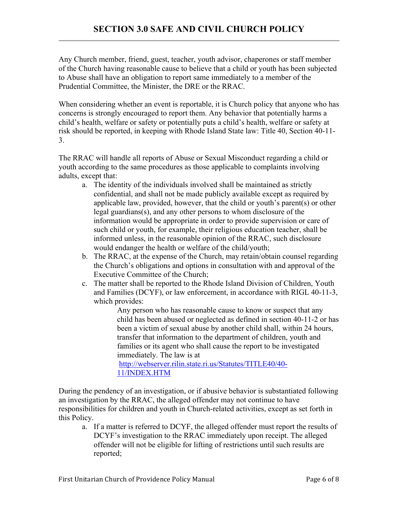Any Church member, friend, guest, teacher, youth advisor, chaperones or staff member of the Church having reasonable cause to believe that a child or youth has been subjected to Abuse shall have an obligation to report same immediately to a member of the Prudential Committee, the Minister, the DRE or the RRAC.

When considering whether an event is reportable, it is Church policy that anyone who has concerns is strongly encouraged to report them. Any behavior that potentially harms a child's health, welfare or safety or potentially puts a child's health, welfare or safety at risk should be reported, in keeping with Rhode Island State law: Title 40, Section 40-11- 3.

The RRAC will handle all reports of Abuse or Sexual Misconduct regarding a child or youth according to the same procedures as those applicable to complaints involving adults, except that:

- a. The identity of the individuals involved shall be maintained as strictly confidential, and shall not be made publicly available except as required by applicable law, provided, however, that the child or youth's parent(s) or other legal guardians(s), and any other persons to whom disclosure of the information would be appropriate in order to provide supervision or care of such child or youth, for example, their religious education teacher, shall be informed unless, in the reasonable opinion of the RRAC, such disclosure would endanger the health or welfare of the child/youth;
- b. The RRAC, at the expense of the Church, may retain/obtain counsel regarding the Church's obligations and options in consultation with and approval of the Executive Committee of the Church;
- c. The matter shall be reported to the Rhode Island Division of Children, Youth and Families (DCYF), or law enforcement, in accordance with RIGL 40-11-3, which provides:

Any person who has reasonable cause to know or suspect that any child has been abused or neglected as defined in section 40-11-2 or has been a victim of sexual abuse by another child shall, within 24 hours, transfer that information to the department of children, youth and families or its agent who shall cause the report to be investigated immediately. The law is at

http://webserver.rilin.state.ri.us/Statutes/TITLE40/40- 11/INDEX.HTM

During the pendency of an investigation, or if abusive behavior is substantiated following an investigation by the RRAC, the alleged offender may not continue to have responsibilities for children and youth in Church-related activities, except as set forth in this Policy.

a. If a matter is referred to DCYF, the alleged offender must report the results of DCYF's investigation to the RRAC immediately upon receipt. The alleged offender will not be eligible for lifting of restrictions until such results are reported;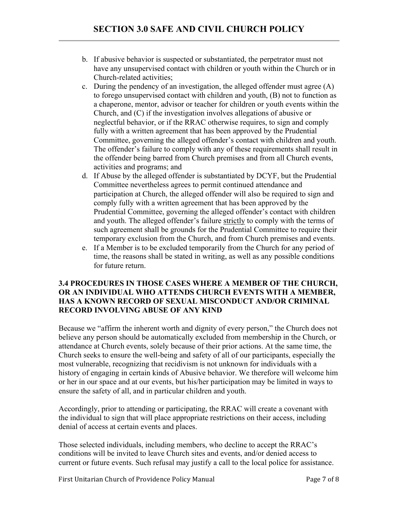- b. If abusive behavior is suspected or substantiated, the perpetrator must not have any unsupervised contact with children or youth within the Church or in Church-related activities;
- c. During the pendency of an investigation, the alleged offender must agree (A) to forego unsupervised contact with children and youth, (B) not to function as a chaperone, mentor, advisor or teacher for children or youth events within the Church, and (C) if the investigation involves allegations of abusive or neglectful behavior, or if the RRAC otherwise requires, to sign and comply fully with a written agreement that has been approved by the Prudential Committee, governing the alleged offender's contact with children and youth. The offender's failure to comply with any of these requirements shall result in the offender being barred from Church premises and from all Church events, activities and programs; and
- d. If Abuse by the alleged offender is substantiated by DCYF, but the Prudential Committee nevertheless agrees to permit continued attendance and participation at Church, the alleged offender will also be required to sign and comply fully with a written agreement that has been approved by the Prudential Committee, governing the alleged offender's contact with children and youth. The alleged offender's failure strictly to comply with the terms of such agreement shall be grounds for the Prudential Committee to require their temporary exclusion from the Church, and from Church premises and events.
- e. If a Member is to be excluded temporarily from the Church for any period of time, the reasons shall be stated in writing, as well as any possible conditions for future return.

### **3.4 PROCEDURES IN THOSE CASES WHERE A MEMBER OF THE CHURCH, OR AN INDIVIDUAL WHO ATTENDS CHURCH EVENTS WITH A MEMBER, HAS A KNOWN RECORD OF SEXUAL MISCONDUCT AND/OR CRIMINAL RECORD INVOLVING ABUSE OF ANY KIND**

Because we "affirm the inherent worth and dignity of every person," the Church does not believe any person should be automatically excluded from membership in the Church, or attendance at Church events, solely because of their prior actions. At the same time, the Church seeks to ensure the well-being and safety of all of our participants, especially the most vulnerable, recognizing that recidivism is not unknown for individuals with a history of engaging in certain kinds of Abusive behavior. We therefore will welcome him or her in our space and at our events, but his/her participation may be limited in ways to ensure the safety of all, and in particular children and youth.

Accordingly, prior to attending or participating, the RRAC will create a covenant with the individual to sign that will place appropriate restrictions on their access, including denial of access at certain events and places.

Those selected individuals, including members, who decline to accept the RRAC's conditions will be invited to leave Church sites and events, and/or denied access to current or future events. Such refusal may justify a call to the local police for assistance.

First Unitarian Church of Providence Policy Manual Page 7 of 8